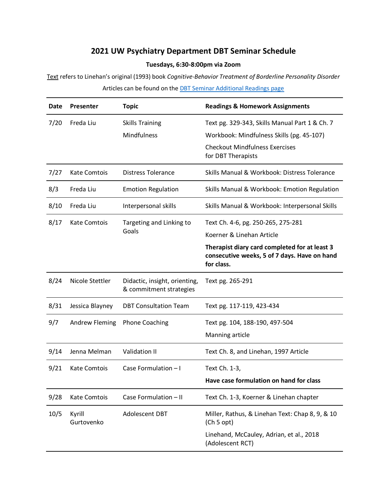## **2021 UW Psychiatry Department DBT Seminar Schedule**

## **Tuesdays, 6:30-8:00pm via Zoom**

Text refers to Linehan's original (1993) book *Cognitive-Behavior Treatment of Borderline Personality Disorder* Articles can be found on th[e DBT Seminar Additional Readings page](http://www.uwcspar.org/additional-readingsarticles.html)

| Date | Presenter            | <b>Topic</b>                                             | <b>Readings &amp; Homework Assignments</b>                                                                  |
|------|----------------------|----------------------------------------------------------|-------------------------------------------------------------------------------------------------------------|
| 7/20 | Freda Liu            | <b>Skills Training</b>                                   | Text pg. 329-343, Skills Manual Part 1 & Ch. 7                                                              |
|      |                      | Mindfulness                                              | Workbook: Mindfulness Skills (pg. 45-107)                                                                   |
|      |                      |                                                          | <b>Checkout Mindfulness Exercises</b><br>for DBT Therapists                                                 |
| 7/27 | <b>Kate Comtois</b>  | <b>Distress Tolerance</b>                                | Skills Manual & Workbook: Distress Tolerance                                                                |
| 8/3  | Freda Liu            | <b>Emotion Regulation</b>                                | Skills Manual & Workbook: Emotion Regulation                                                                |
| 8/10 | Freda Liu            | Interpersonal skills                                     | Skills Manual & Workbook: Interpersonal Skills                                                              |
| 8/17 | Kate Comtois         | Targeting and Linking to<br>Goals                        | Text Ch. 4-6, pg. 250-265, 275-281                                                                          |
|      |                      |                                                          | Koerner & Linehan Article                                                                                   |
|      |                      |                                                          | Therapist diary card completed for at least 3<br>consecutive weeks, 5 of 7 days. Have on hand<br>for class. |
| 8/24 | Nicole Stettler      | Didactic, insight, orienting,<br>& commitment strategies | Text pg. 265-291                                                                                            |
| 8/31 | Jessica Blayney      | <b>DBT Consultation Team</b>                             | Text pg. 117-119, 423-434                                                                                   |
| 9/7  | Andrew Fleming       | <b>Phone Coaching</b>                                    | Text pg. 104, 188-190, 497-504                                                                              |
|      |                      |                                                          | Manning article                                                                                             |
| 9/14 | Jenna Melman         | Validation II                                            | Text Ch. 8, and Linehan, 1997 Article                                                                       |
| 9/21 | <b>Kate Comtois</b>  | Case Formulation - I                                     | Text Ch. 1-3,                                                                                               |
|      |                      |                                                          | Have case formulation on hand for class                                                                     |
| 9/28 | <b>Kate Comtois</b>  | Case Formulation - II                                    | Text Ch. 1-3, Koerner & Linehan chapter                                                                     |
| 10/5 | Kyrill<br>Gurtovenko | Adolescent DBT                                           | Miller, Rathus, & Linehan Text: Chap 8, 9, & 10<br>(Ch 5 opt)                                               |
|      |                      |                                                          | Linehand, McCauley, Adrian, et al., 2018<br>(Adolescent RCT)                                                |